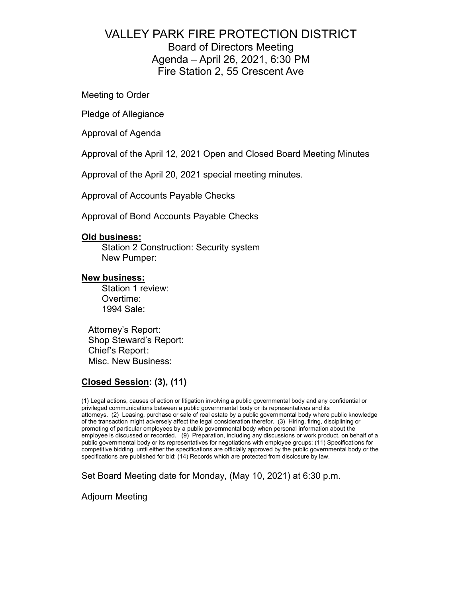# VALLEY PARK FIRE PROTECTION DISTRICT Board of Directors Meeting Agenda – April 26, 2021, 6:30 PM Fire Station 2, 55 Crescent Ave

Meeting to Order

Pledge of Allegiance

Approval of Agenda

Approval of the April 12, 2021 Open and Closed Board Meeting Minutes

Approval of the April 20, 2021 special meeting minutes.

Approval of Accounts Payable Checks

Approval of Bond Accounts Payable Checks

### **Old business:**

Station 2 Construction: Security system New Pumper:

### **New business:**

Station 1 review: Overtime: 1994 Sale:

Attorney's Report: Shop Steward's Report: Chief's Report : Misc. New Business:

# **Closed Session: (3), (11)**

(1) Legal actions, causes of action or litigation involving a public governmental body and any confidential or privileged communications between a public governmental body or its representatives and its attorneys. (2) Leasing, purchase or sale of real estate by a public governmental body where public knowledge of the transaction might adversely affect the legal consideration therefor. (3) Hiring, firing, disciplining or promoting of particular employees by a public governmental body when personal information about the employee is discussed or recorded. (9) Preparation, including any discussions or work product, on behalf of a public governmental body or its representatives for negotiations with employee groups; (11) Specifications for competitive bidding, until either the specifications are officially approved by the public governmental body or the specifications are published for bid; (14) Records which are protected from disclosure by law.

Set Board Meeting date for Monday, (May 10, 2021) at 6:30 p.m.

Adjourn Meeting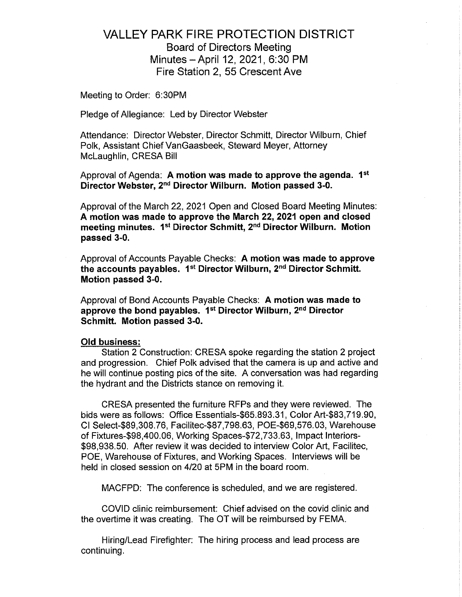# **VALLEY PARK FIRE PROTECTION DISTRICT Board of Directors Meeting** Minutes - April 12, 2021, 6:30 PM Fire Station 2, 55 Crescent Ave

Meeting to Order: 6:30PM

Pledge of Allegiance: Led by Director Webster

Attendance: Director Webster, Director Schmitt, Director Wilburn, Chief Polk, Assistant Chief VanGaasbeek, Steward Meyer, Attorney McLaughlin, CRESA Bill

Approval of Agenda: A motion was made to approve the agenda. 1<sup>st</sup> Director Webster, 2<sup>nd</sup> Director Wilburn. Motion passed 3-0.

Approval of the March 22, 2021 Open and Closed Board Meeting Minutes: A motion was made to approve the March 22, 2021 open and closed meeting minutes. 1st Director Schmitt, 2<sup>nd</sup> Director Wilburn. Motion passed 3-0.

Approval of Accounts Payable Checks: A motion was made to approve the accounts payables. 1<sup>st</sup> Director Wilburn, 2<sup>nd</sup> Director Schmitt. Motion passed 3-0.

Approval of Bond Accounts Payable Checks: A motion was made to approve the bond payables. 1<sup>st</sup> Director Wilburn, 2<sup>nd</sup> Director Schmitt. Motion passed 3-0.

#### **Old business:**

Station 2 Construction: CRESA spoke regarding the station 2 project and progression. Chief Polk advised that the camera is up and active and he will continue posting pics of the site. A conversation was had regarding the hydrant and the Districts stance on removing it.

CRESA presented the furniture RFPs and they were reviewed. The bids were as follows: Office Essentials-\$65.893.31, Color Art-\$83,719.90, CI Select-\$89,308.76, Facilitec-\$87,798.63, POE-\$69,576.03, Warehouse of Fixtures-\$98,400.06, Working Spaces-\$72,733.63, Impact Interiors-\$98,938.50. After review it was decided to interview Color Art, Facilitec, POE, Warehouse of Fixtures, and Working Spaces. Interviews will be held in closed session on 4/20 at 5PM in the board room.

MACFPD: The conference is scheduled, and we are registered.

COVID clinic reimbursement: Chief advised on the covid clinic and the overtime it was creating. The OT will be reimbursed by FEMA.

Hiring/Lead Firefighter: The hiring process and lead process are continuing.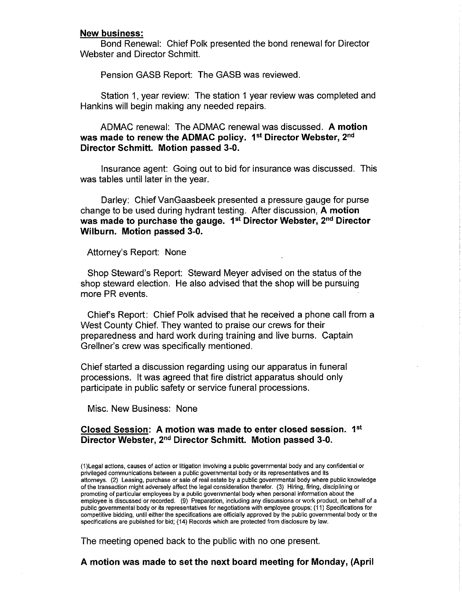#### **New business:**

Bond Renewal: Chief Polk presented the bond renewal for Director Webster and Director Schmitt.

Pension GASB Report: The GASB was reviewed.

Station 1, year review: The station 1 year review was completed and Hankins will begin making any needed repairs.

ADMAC renewal: The ADMAC renewal was discussed. A motion was made to renew the ADMAC policy. 1<sup>st</sup> Director Webster, 2<sup>nd</sup> Director Schmitt. Motion passed 3-0.

Insurance agent: Going out to bid for insurance was discussed. This was tables until later in the year.

Darley: Chief VanGaasbeek presented a pressure gauge for purse change to be used during hydrant testing. After discussion, A motion was made to purchase the gauge. 1<sup>st</sup> Director Webster, 2<sup>nd</sup> Director Wilburn. Motion passed 3-0.

Attorney's Report: None

Shop Steward's Report: Steward Meyer advised on the status of the shop steward election. He also advised that the shop will be pursuing more PR events.

Chief's Report: Chief Polk advised that he received a phone call from a West County Chief. They wanted to praise our crews for their preparedness and hard work during training and live burns. Captain Grellner's crew was specifically mentioned.

Chief started a discussion regarding using our apparatus in funeral processions. It was agreed that fire district apparatus should only participate in public safety or service funeral processions.

Misc. New Business: None

## Closed Session: A motion was made to enter closed session. 1st Director Webster, 2<sup>nd</sup> Director Schmitt. Motion passed 3-0.

(1) Legal actions, causes of action or litigation involving a public governmental body and any confidential or privileged communications between a public governmental body or its representatives and its attorneys. (2) Leasing, purchase or sale of real estate by a public governmental body where public knowledge of the transaction might adversely affect the legal consideration therefor. (3) Hiring, firing, disciplining or promoting of particular employees by a public governmental body when personal information about the employee is discussed or recorded. (9) Preparation, including any discussions or work product, on behalf of a public governmental body or its representatives for negotiations with employee groups; (11) Specifications for competitive bidding, until either the specifications are officially approved by the public governmental body or the specifications are published for bid; (14) Records which are protected from disclosure by law.

The meeting opened back to the public with no one present.

A motion was made to set the next board meeting for Monday, (April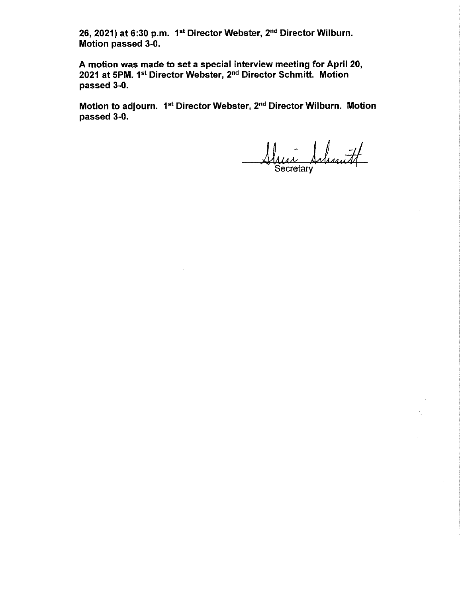26, 2021) at 6:30 p.m. 1st Director Webster, 2<sup>nd</sup> Director Wilburn. Motion passed 3-0.

A motion was made to set a special interview meeting for April 20, 2021 at 5PM. 1st Director Webster, 2<sup>nd</sup> Director Schmitt. Motion passed 3-0.

Motion to adjourn. 1<sup>st</sup> Director Webster, 2<sup>nd</sup> Director Wilburn. Motion passed 3-0.

Sheir Schmitt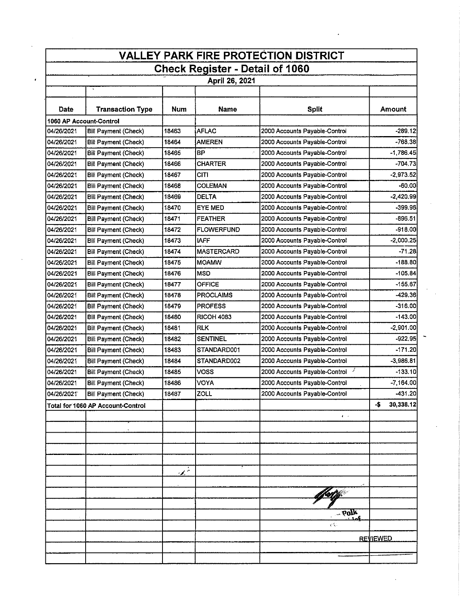|                                                          |                                   |                |                   | <b>VALLEY PARK FIRE PROTECTION DISTRICT</b> |                  |  |  |  |  |  |  |
|----------------------------------------------------------|-----------------------------------|----------------|-------------------|---------------------------------------------|------------------|--|--|--|--|--|--|
| <b>Check Register - Detail of 1060</b><br>April 26, 2021 |                                   |                |                   |                                             |                  |  |  |  |  |  |  |
|                                                          | $\bullet$                         |                |                   |                                             |                  |  |  |  |  |  |  |
| Date                                                     | <b>Transaction Type</b>           | Num            | Name              | <b>Split</b>                                | Amount           |  |  |  |  |  |  |
|                                                          | 1060 AP Account-Control           |                |                   |                                             |                  |  |  |  |  |  |  |
| 04/26/2021                                               | Bill Payment (Check)              | 18463          | <b>AFLAC</b>      | 2000 Accounts Payable-Control               | $-289.12$        |  |  |  |  |  |  |
| 04/26/2021                                               | Bill Payment (Check)              | 18464          | <b>AMEREN</b>     | 2000 Accounts Payable-Control               | -768.38          |  |  |  |  |  |  |
| 04/26/2021                                               | <b>Bill Payment (Check)</b>       | 18465          | lвP               | 2000 Accounts Payable-Control               | $-1,786.45$      |  |  |  |  |  |  |
| 04/26/2021                                               | <b>Bill Payment (Check)</b>       | 18466          | <b>CHARTER</b>    | 2000 Accounts Payable-Control               | -704 73          |  |  |  |  |  |  |
| 04/26/2021                                               | <b>Bill Payment (Check)</b>       | 18467          | <b>CITI</b>       | 2000 Accounts Payable-Control               | $-2,973.52$      |  |  |  |  |  |  |
| 04/26/2021                                               | <b>Bill Payment (Check)</b>       | 18468          | <b>COLEMAN</b>    | 2000 Accounts Payable-Control               | $-60.00$         |  |  |  |  |  |  |
| 04/26/2021                                               | Bill Payment (Check)              | 18469          | <b>DELTA</b>      | 2000 Accounts Payable-Control               | $-2,420.99$      |  |  |  |  |  |  |
| 04/26/2021                                               | Bill Payment (Check)              | 18470          | EYE MED           | 2000 Accounts Payable-Control               | $-399.96$        |  |  |  |  |  |  |
| 04/26/2021                                               | <b>Bill Payment (Check)</b>       | 18471          | <b>FEATHER</b>    | 2000 Accounts Payable-Control               | $-896.51$        |  |  |  |  |  |  |
| 04/26/2021                                               | <b>Bill Payment (Check)</b>       | 18472          | <b>FLOWERFUND</b> | 2000 Accounts Payable-Control               | $-918.00$        |  |  |  |  |  |  |
| 04/26/2021                                               | <b>Bill Payment (Check)</b>       | 18473          | IAFF              | 2000 Accounts Payable-Control               | $-2,000.25$      |  |  |  |  |  |  |
| 04/26/2021                                               | Bill Payment (Check)              | 18474          | MASTERCARD        | 2000 Accounts Payable-Control               | $-71.28$         |  |  |  |  |  |  |
| 04/26/2021                                               | <b>Bill Payment (Check)</b>       | 18475          | <b>MOAMW</b>      | 2000 Accounts Payable-Control               | $-188.80$        |  |  |  |  |  |  |
| 04/26/2021                                               | <b>Bill Payment (Check)</b>       | 18476          | <b>MSD</b>        | 2000 Accounts Payable-Control               | $-105.84$        |  |  |  |  |  |  |
| 04/26/2021                                               | <b>Bill Payment (Check)</b>       | 18477          | <b>OFFICE</b>     | 2000 Accounts Payable-Control               | $-155.67$        |  |  |  |  |  |  |
| 04/26/2021                                               | <b>Bill Payment (Check)</b>       | 18478          | <b>PROCLAIMS</b>  | 2000 Accounts Payable-Control               | -429.361         |  |  |  |  |  |  |
| 04/26/2021                                               | <b>Bill Payment (Check)</b>       | 18479          | <b>PROFESS</b>    | 2000 Accounts Payable-Control               | $-316.00$        |  |  |  |  |  |  |
| 04/26/2021                                               | <b>Bill Payment (Check)</b>       | 18480          | <b>RICOH 4083</b> | 2000 Accounts Payable-Control               | $-143.00$        |  |  |  |  |  |  |
| 04/26/2021                                               | <b>Bill Payment (Check)</b>       | 18481          | <b>RLK</b>        | 2000 Accounts Payable-Control               | $-2,901.00$      |  |  |  |  |  |  |
| 04/26/2021                                               | <b>Bill Payment (Check)</b>       | 18482          | <b>SENTINEL</b>   | 2000 Accounts Payable-Control               | $-922.95$        |  |  |  |  |  |  |
| 04/26/2021                                               | Bill Payment (Check)              | 18483          | STANDARD001       | 2000 Accounts Payable-Control               | $-171.20$        |  |  |  |  |  |  |
| 04/26/2021                                               | Bill Payment (Check)              | 18484          | STANDARD002       | 2000 Accounts Payable-Control               | $-3,986.81$      |  |  |  |  |  |  |
| 04/26/2021                                               | Bill Payment (Check)              | 18485          | <b>VOSS</b>       | J<br>2000 Accounts Payable-Control          | $-133.10$        |  |  |  |  |  |  |
| 04/26/2021                                               | Bill Payment (Check)              | 18486          | VOYA              | 2000 Accounts Payable-Control               | $-7,164.00$      |  |  |  |  |  |  |
| 04/26/2021                                               | <b>Bill Payment (Check)</b>       | 18487          | ZOLL              | 2000 Accounts Payable-Control               | -431.20          |  |  |  |  |  |  |
|                                                          | Total for 1060 AP Account-Control |                |                   |                                             | 30,338.12<br>-\$ |  |  |  |  |  |  |
|                                                          |                                   |                |                   | $\epsilon$                                  |                  |  |  |  |  |  |  |
|                                                          |                                   |                |                   |                                             |                  |  |  |  |  |  |  |
|                                                          |                                   |                |                   |                                             |                  |  |  |  |  |  |  |
|                                                          |                                   |                |                   |                                             |                  |  |  |  |  |  |  |
|                                                          |                                   |                |                   |                                             |                  |  |  |  |  |  |  |
|                                                          |                                   | $\mathbb{Z}^+$ |                   |                                             |                  |  |  |  |  |  |  |
|                                                          |                                   |                |                   |                                             |                  |  |  |  |  |  |  |
|                                                          |                                   |                |                   |                                             |                  |  |  |  |  |  |  |
|                                                          |                                   |                |                   |                                             |                  |  |  |  |  |  |  |
|                                                          |                                   |                |                   | $-$ 60 $\gamma$                             |                  |  |  |  |  |  |  |
|                                                          |                                   |                |                   | e C.                                        |                  |  |  |  |  |  |  |
|                                                          |                                   |                |                   |                                             | <b>REVIEWED</b>  |  |  |  |  |  |  |

 $\label{eq:2.1} \frac{1}{\sqrt{2}}\int_{0}^{\infty}\frac{1}{\sqrt{2\pi}}\left(\frac{1}{\sqrt{2\pi}}\right)^{2}d\mu\left(\frac{1}{\sqrt{2\pi}}\right)\frac{d\mu}{d\mu}d\mu\left(\frac{1}{\sqrt{2\pi}}\right).$ 

 $\label{eq:2} \frac{1}{\sqrt{2}}\int_{0}^{\pi}\frac{1}{\sqrt{2}}\left(\frac{1}{\sqrt{2}}\right)^{2}d\theta.$ 

 $\sim 10^{-11}$